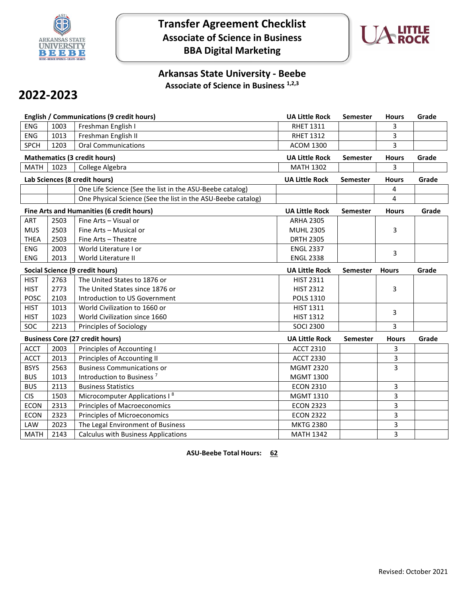

## **Transfer Agreement Checklist Associate of Science in Business BBA Digital Marketing**



### **Arkansas State University - Beebe Associate of Science in Business 1,2,3**

# **2022-2023**

|                                     |      | <b>English / Communications (9 credit hours)</b>             | <b>UA Little Rock</b> | Semester        | <b>Hours</b> | Grade |
|-------------------------------------|------|--------------------------------------------------------------|-----------------------|-----------------|--------------|-------|
| <b>ENG</b>                          | 1003 | Freshman English I                                           | <b>RHET 1311</b>      |                 | 3            |       |
| <b>ENG</b>                          | 1013 | Freshman English II                                          | <b>RHET 1312</b>      |                 | 3            |       |
| <b>SPCH</b>                         | 1203 | <b>Oral Communications</b>                                   | <b>ACOM 1300</b>      |                 | 3            |       |
| <b>Mathematics (3 credit hours)</b> |      |                                                              | <b>UA Little Rock</b> | <b>Semester</b> | <b>Hours</b> | Grade |
| <b>MATH</b>                         | 1023 | College Algebra                                              | <b>MATH 1302</b>      |                 | 3            |       |
|                                     |      | Lab Sciences (8 credit hours)                                | <b>UA Little Rock</b> | <b>Semester</b> | <b>Hours</b> | Grade |
|                                     |      | One Life Science (See the list in the ASU-Beebe catalog)     |                       |                 | 4            |       |
|                                     |      | One Physical Science (See the list in the ASU-Beebe catalog) |                       |                 | 4            |       |
|                                     |      | Fine Arts and Humanities (6 credit hours)                    | <b>UA Little Rock</b> | Semester        | <b>Hours</b> | Grade |
| ART                                 | 2503 | Fine Arts - Visual or                                        | <b>ARHA 2305</b>      |                 |              |       |
| <b>MUS</b>                          | 2503 | Fine Arts - Musical or                                       | <b>MUHL 2305</b>      |                 | 3            |       |
| <b>THEA</b>                         | 2503 | Fine Arts - Theatre                                          | <b>DRTH 2305</b>      |                 |              |       |
| <b>ENG</b>                          | 2003 | World Literature I or                                        | <b>ENGL 2337</b>      |                 | 3            |       |
| ENG                                 | 2013 | World Literature II                                          | <b>ENGL 2338</b>      |                 |              |       |
| Social Science (9 credit hours)     |      |                                                              | <b>UA Little Rock</b> | <b>Semester</b> | <b>Hours</b> | Grade |
| <b>HIST</b>                         | 2763 | The United States to 1876 or                                 | <b>HIST 2311</b>      |                 |              |       |
| <b>HIST</b>                         | 2773 | The United States since 1876 or                              | <b>HIST 2312</b>      |                 | 3            |       |
| <b>POSC</b>                         | 2103 | Introduction to US Government                                | <b>POLS 1310</b>      |                 |              |       |
| <b>HIST</b>                         | 1013 | World Civilization to 1660 or                                | <b>HIST 1311</b>      |                 | 3            |       |
| <b>HIST</b>                         | 1023 | World Civilization since 1660                                | <b>HIST 1312</b>      |                 |              |       |
| SOC                                 | 2213 | Principles of Sociology                                      | <b>SOCI 2300</b>      |                 | 3            |       |
|                                     |      | <b>Business Core (27 credit hours)</b>                       | <b>UA Little Rock</b> | <b>Semester</b> | <b>Hours</b> | Grade |
| <b>ACCT</b>                         | 2003 | Principles of Accounting I                                   | <b>ACCT 2310</b>      |                 | 3            |       |
| <b>ACCT</b>                         | 2013 | Principles of Accounting II                                  | <b>ACCT 2330</b>      |                 | 3            |       |
| <b>BSYS</b>                         | 2563 | <b>Business Communications or</b>                            | <b>MGMT 2320</b>      |                 | 3            |       |
| <b>BUS</b>                          | 1013 | Introduction to Business <sup>7</sup>                        | <b>MGMT 1300</b>      |                 |              |       |
| <b>BUS</b>                          | 2113 | <b>Business Statistics</b>                                   | <b>ECON 2310</b>      |                 | 3            |       |
| <b>CIS</b>                          | 1503 | Microcomputer Applications I <sup>8</sup>                    | <b>MGMT 1310</b>      |                 | 3            |       |
| <b>ECON</b>                         | 2313 | <b>Principles of Macroeconomics</b>                          | <b>ECON 2323</b>      |                 | 3            |       |
| <b>ECON</b>                         | 2323 | <b>Principles of Microeconomics</b>                          | <b>ECON 2322</b>      |                 | 3            |       |
| LAW                                 | 2023 | The Legal Environment of Business                            | <b>MKTG 2380</b>      |                 | 3            |       |
| <b>MATH</b>                         | 2143 | <b>Calculus with Business Applications</b>                   | <b>MATH 1342</b>      |                 | 3            |       |

**ASU-Beebe Total Hours: 62**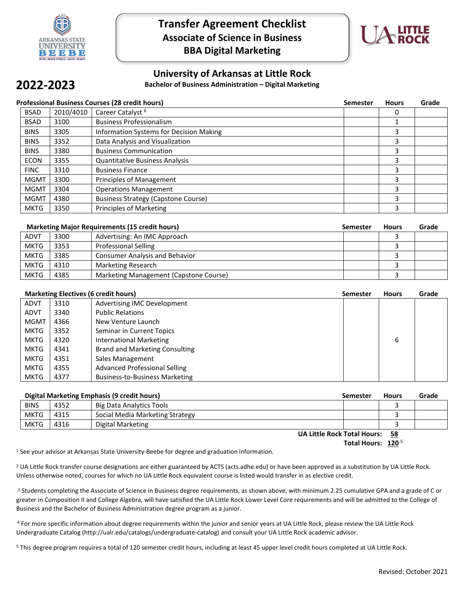

**2022-2023**

### **Transfer Agreement Checklist Associate of Science in Business BBA Digital Marketing**



#### **University of Arkansas at Little Rock**

**Bachelor of Business Administration – Digital Marketing**

#### **Professional Business Courses (28 credit hours) Semester Hours Grade**  BSAD 2010/4010 Career Catalyst 6 0 BSAD 3100 Business Professionalism 1 BINS 3305 Information Systems for Decision Making 3 BINS 3352 Data Analysis and Visualization 3 and 3 and 3 and 3 and 3 and 3 and 3 and 3 and 3 and 3 and 3 and 3 and 3 and 3 and 3 and 3 and 3 and 3 and 3 and 3 and 3 and 3 and 3 and 3 and 3 and 3 and 3 and 3 and 3 and 3 and BINS 3380 Business Communication 3 ECON 3355 Quantitative Business Analysis 3 FINC 3310 Business Finance 3 and 3 and 3 and 3 and 3 and 3 and 3 and 3 and 3 and 3 and 3 and 3 and 3 and 3 and 3 and 3 and 3 and 3 and 3 and 3 and 3 and 3 and 3 and 3 and 3 and 3 and 3 and 3 and 3 and 3 and 3 and 3 and 3 a MGMT 3300 Principles of Management 3 and 3 and 3 and 3 and 3 and 3 and 3 and 3 and 3 and 3 and 3 and 3 and 3 and 3 and 3 and 3 and 3 and 3 and 3 and 3 and 3 and 3 and 3 and 3 and 3 and 3 and 3 and 3 and 3 and 3 and 3 and 3 MGMT 3304 Deperations Management 3 and 3 and 3 and 3 and 3 and 3 and 3 and 3 and 3 and 3 and 3 and 3 and 3 and 3 and 3 and 3 and 3 and 3 and 3 and 3 and 3 and 3 and 3 and 3 and 3 and 3 and 3 and 3 and 3 and 3 and 3 and 3 a MGMT 4380 Business Strategy (Capstone Course) 3 MKTG 3350 Principles of Marketing 3 and 3 and 3 and 3 and 3 and 3 and 3 and 3 and 3 and 3 and 3 and 3 and 3 and 3 and 3 and 3 and 3 and 3 and 3 and 3 and 3 and 3 and 3 and 3 and 3 and 3 and 3 and 3 and 3 and 3 and 3 and 3

| <b>Marketing Major Requirements (15 credit hours)</b> |      |                                        | <b>Semester</b> | <b>Hours</b> | Grade |
|-------------------------------------------------------|------|----------------------------------------|-----------------|--------------|-------|
| <b>ADVT</b>                                           | 3300 | Advertising: An IMC Approach           |                 |              |       |
| <b>MKTG</b>                                           | 3353 | <b>Professional Selling</b>            |                 |              |       |
| <b>MKTG</b>                                           | 3385 | <b>Consumer Analysis and Behavior</b>  |                 |              |       |
| <b>MKTG</b>                                           | 4310 | <b>Marketing Research</b>              |                 |              |       |
| <b>MKTG</b>                                           | 4385 | Marketing Management (Capstone Course) |                 |              |       |

| <b>Marketing Electives (6 credit hours)</b> |      | <b>Semester</b>                       | <b>Hours</b> | Grade |  |
|---------------------------------------------|------|---------------------------------------|--------------|-------|--|
| <b>ADVT</b>                                 | 3310 | Advertising IMC Development           |              |       |  |
| <b>ADVT</b>                                 | 3340 | <b>Public Relations</b>               |              |       |  |
| <b>MGMT</b>                                 | 4366 | New Venture Launch                    |              |       |  |
| <b>MKTG</b>                                 | 3352 | Seminar in Current Topics             |              |       |  |
| <b>MKTG</b>                                 | 4320 | <b>International Marketing</b>        |              | 6     |  |
| <b>MKTG</b>                                 | 4341 | <b>Brand and Marketing Consulting</b> |              |       |  |
| <b>MKTG</b>                                 | 4351 | Sales Management                      |              |       |  |
| <b>MKTG</b>                                 | 4355 | <b>Advanced Professional Selling</b>  |              |       |  |
| <b>MKTG</b>                                 | 4377 | Business-to-Business Marketing        |              |       |  |

| <b>Digital Marketing Emphasis (9 credit hours)</b> |      |                                 | <b>Semester</b> | <b>Hours</b> | Grade |
|----------------------------------------------------|------|---------------------------------|-----------------|--------------|-------|
| <b>BINS</b>                                        | 4352 | <b>Big Data Analytics Tools</b> |                 |              |       |
| <b>MKTG</b>                                        | 4315 | Social Media Marketing Strategy |                 |              |       |
| <b>MKTG</b>                                        | 4316 | Digital Marketing               |                 |              |       |

**UA Little Rock Total Hours: 58**

Total Hours: 120<sup>5</sup>

1 See your advisor at Arkansas State University-Beebe for degree and graduation information.

<sup>2</sup> UA Little Rock transfer course designations are either guaranteed by ACTS (acts.adhe.edu) or have been approved as a substitution by UA Little Rock. Unless otherwise noted, courses for which no UA Little Rock equivalent course is listed would transfer in as elective credit.

<sup>3</sup> Students completing the Associate of Science in Business degree requirements, as shown above, with minimum 2.25 cumulative GPA and a grade of C or greater in Composition II and College Algebra, will have satisfied the UA Little Rock Lower Level Core requirements and will be admitted to the College of Business and the Bachelor of Business Administration degree program as a junior.

<sup>4</sup> For more specific information about degree requirements within the junior and senior years at UA Little Rock, please review the UA Little Rock Undergraduate Catalog (http://ualr.edu/catalogs/undergraduate-catalog) and consult your UA Little Rock academic advisor.

<sup>5</sup> This degree program requires a total of 120 semester credit hours, including at least 45 upper level credit hours completed at UA Little Rock.